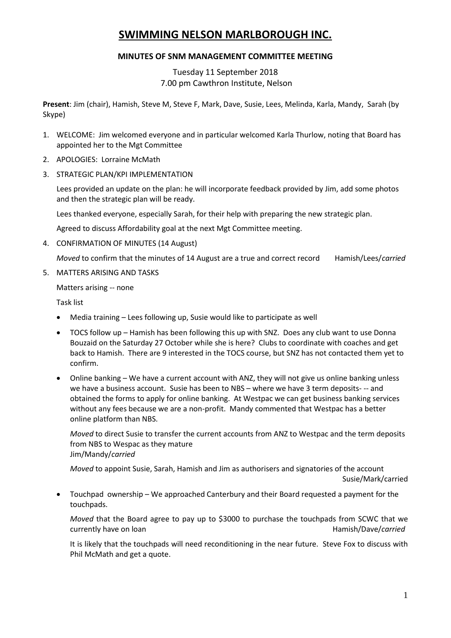# **SWIMMING NELSON MARLBOROUGH INC.**

# **MINUTES OF SNM MANAGEMENT COMMITTEE MEETING**

Tuesday 11 September 2018 7.00 pm Cawthron Institute, Nelson

**Present**: Jim (chair), Hamish, Steve M, Steve F, Mark, Dave, Susie, Lees, Melinda, Karla, Mandy, Sarah (by Skype)

- 1. WELCOME: Jim welcomed everyone and in particular welcomed Karla Thurlow, noting that Board has appointed her to the Mgt Committee
- 2. APOLOGIES: Lorraine McMath
- 3. STRATEGIC PLAN/KPI IMPLEMENTATION

Lees provided an update on the plan: he will incorporate feedback provided by Jim, add some photos and then the strategic plan will be ready.

Lees thanked everyone, especially Sarah, for their help with preparing the new strategic plan.

Agreed to discuss Affordability goal at the next Mgt Committee meeting.

4. CONFIRMATION OF MINUTES (14 August)

*Moved* to confirm that the minutes of 14 August are a true and correct record Hamish/Lees/*carried* 

5. MATTERS ARISING AND TASKS

Matters arising -- none

Task list

- Media training Lees following up, Susie would like to participate as well
- TOCS follow up Hamish has been following this up with SNZ. Does any club want to use Donna Bouzaid on the Saturday 27 October while she is here? Clubs to coordinate with coaches and get back to Hamish. There are 9 interested in the TOCS course, but SNZ has not contacted them yet to confirm.
- Online banking We have a current account with ANZ, they will not give us online banking unless we have a business account. Susie has been to NBS – where we have 3 term deposits- -- and obtained the forms to apply for online banking. At Westpac we can get business banking services without any fees because we are a non-profit. Mandy commented that Westpac has a better online platform than NBS.

*Moved* to direct Susie to transfer the current accounts from ANZ to Westpac and the term deposits from NBS to Wespac as they mature Jim/Mandy/*carried*

*Moved* to appoint Susie, Sarah, Hamish and Jim as authorisers and signatories of the account Susie/Mark/carried

 Touchpad ownership – We approached Canterbury and their Board requested a payment for the touchpads.

*Moved* that the Board agree to pay up to \$3000 to purchase the touchpads from SCWC that we currently have on loan **Hamish/Dave/carried** Hamish/Dave/*carried* 

It is likely that the touchpads will need reconditioning in the near future. Steve Fox to discuss with Phil McMath and get a quote.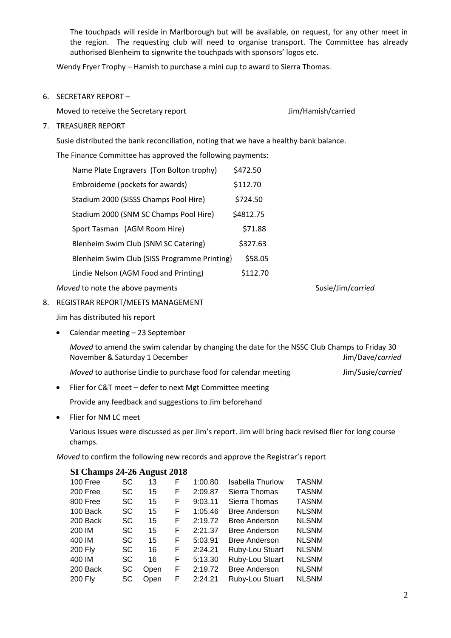The touchpads will reside in Marlborough but will be available, on request, for any other meet in the region. The requesting club will need to organise transport. The Committee has already authorised Blenheim to signwrite the touchpads with sponsors' logos etc.

Wendy Fryer Trophy – Hamish to purchase a mini cup to award to Sierra Thomas.

6. SECRETARY REPORT –

Moved to receive the Secretary report Jim/Hamish/carried

## 7. TREASURER REPORT

Susie distributed the bank reconciliation, noting that we have a healthy bank balance.

The Finance Committee has approved the following payments:

Name Plate Engravers (Ton Bolton trophy) \$472.50 Embroideme (pockets for awards) \$112.70 Stadium 2000 (SISSS Champs Pool Hire) \$724.50 Stadium 2000 (SNM SC Champs Pool Hire) \$4812.75 Sport Tasman (AGM Room Hire) \$71.88 Blenheim Swim Club (SNM SC Catering) \$327.63 Blenheim Swim Club (SISS Programme Printing} \$58.05 Lindie Nelson (AGM Food and Printing) \$112.70

*Moved* to note the above payments Susie/Jim/*carried* Susie/Jim/*carried* 

8. REGISTRAR REPORT/MEETS MANAGEMENT

Jim has distributed his report

• Calendar meeting - 23 September

*Moved* to amend the swim calendar by changing the date for the NSSC Club Champs to Friday 30 November & Saturday 1 December Jim/Dave/*carried*

| Moved to authorise Lindie to purchase food for calendar meeting | Jim/Susie/carried |
|-----------------------------------------------------------------|-------------------|
|-----------------------------------------------------------------|-------------------|

Flier for C&T meet – defer to next Mgt Committee meeting

Provide any feedback and suggestions to Jim beforehand

Flier for NM LC meet

Various Issues were discussed as per Jim's report. Jim will bring back revised flier for long course champs.

*Moved* to confirm the following new records and approve the Registrar's report

# **SI Champs 24-26 August 2018**

| 100 Free       | SC        | 13   | F | 1:00.80 | <b>Isabella Thurlow</b> | <b>TASNM</b> |
|----------------|-----------|------|---|---------|-------------------------|--------------|
| 200 Free       | <b>SC</b> | 15   | F | 2:09.87 | Sierra Thomas           | <b>TASNM</b> |
| 800 Free       | SC        | 15   | F | 9:03.11 | Sierra Thomas           | <b>TASNM</b> |
| 100 Back       | <b>SC</b> | 15   | F | 1:05.46 | <b>Bree Anderson</b>    | <b>NLSNM</b> |
| 200 Back       | <b>SC</b> | 15   | F | 2:19.72 | <b>Bree Anderson</b>    | <b>NLSNM</b> |
| 200 IM         | <b>SC</b> | 15   | F | 2:21.37 | <b>Bree Anderson</b>    | <b>NLSNM</b> |
| 400 IM         | <b>SC</b> | 15   | F | 5:03.91 | <b>Bree Anderson</b>    | <b>NLSNM</b> |
| <b>200 Fly</b> | SC        | 16   | F | 2:24.21 | Ruby-Lou Stuart         | <b>NLSNM</b> |
| 400 IM         | <b>SC</b> | 16   | F | 5:13.30 | Ruby-Lou Stuart         | <b>NLSNM</b> |
| 200 Back       | SC        | Open | F | 2:19.72 | <b>Bree Anderson</b>    | <b>NLSNM</b> |
| 200 Fly        | SC        | Open | F | 2:24.21 | Ruby-Lou Stuart         | <b>NLSNM</b> |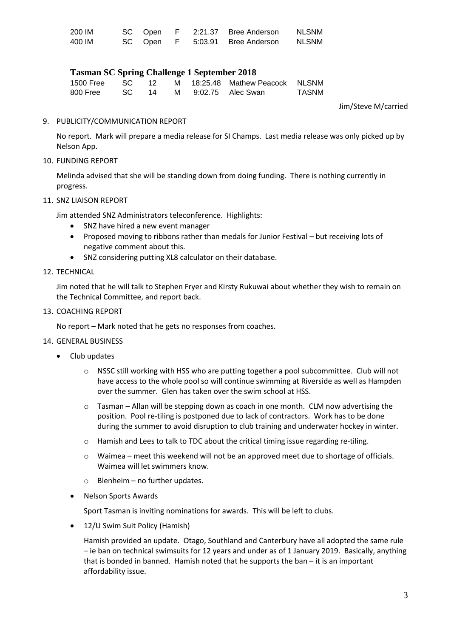| 200 IM | SC Open | $\mathsf{F}$ | 2:21.37 Bree Anderson           | <b>NLSNM</b> |
|--------|---------|--------------|---------------------------------|--------------|
| 400 IM |         |              | SC Open F 5:03.91 Bree Anderson | <b>NLSNM</b> |

# **Tasman SC Spring Challenge 1 September 2018**

| 1500 Free SC 12 |  |  | M 18:25.48 Mathew Peacock NLSNM |              |
|-----------------|--|--|---------------------------------|--------------|
| 800 Free        |  |  | SC 14 M 9:02.75 Alec Swan       | <b>TASNM</b> |

Jim/Steve M/carried

### 9. PUBLICITY/COMMUNICATION REPORT

No report. Mark will prepare a media release for SI Champs. Last media release was only picked up by Nelson App.

## 10. FUNDING REPORT

Melinda advised that she will be standing down from doing funding. There is nothing currently in progress.

#### 11. SNZ LIAISON REPORT

Jim attended SNZ Administrators teleconference. Highlights:

- SNZ have hired a new event manager
- Proposed moving to ribbons rather than medals for Junior Festival but receiving lots of negative comment about this.
- SNZ considering putting XL8 calculator on their database.

#### 12. TECHNICAL

Jim noted that he will talk to Stephen Fryer and Kirsty Rukuwai about whether they wish to remain on the Technical Committee, and report back.

#### 13. COACHING REPORT

No report – Mark noted that he gets no responses from coaches.

## 14. GENERAL BUSINESS

- Club updates
	- o NSSC still working with HSS who are putting together a pool subcommittee. Club will not have access to the whole pool so will continue swimming at Riverside as well as Hampden over the summer. Glen has taken over the swim school at HSS.
	- o Tasman Allan will be stepping down as coach in one month. CLM now advertising the position. Pool re-tiling is postponed due to lack of contractors. Work has to be done during the summer to avoid disruption to club training and underwater hockey in winter.
	- o Hamish and Lees to talk to TDC about the critical timing issue regarding re-tiling.
	- o Waimea meet this weekend will not be an approved meet due to shortage of officials. Waimea will let swimmers know.
	- $\circ$  Blenheim no further updates.
	- Nelson Sports Awards

Sport Tasman is inviting nominations for awards. This will be left to clubs.

12/U Swim Suit Policy (Hamish)

Hamish provided an update. Otago, Southland and Canterbury have all adopted the same rule – ie ban on technical swimsuits for 12 years and under as of 1 January 2019. Basically, anything that is bonded in banned. Hamish noted that he supports the ban – it is an important affordability issue.